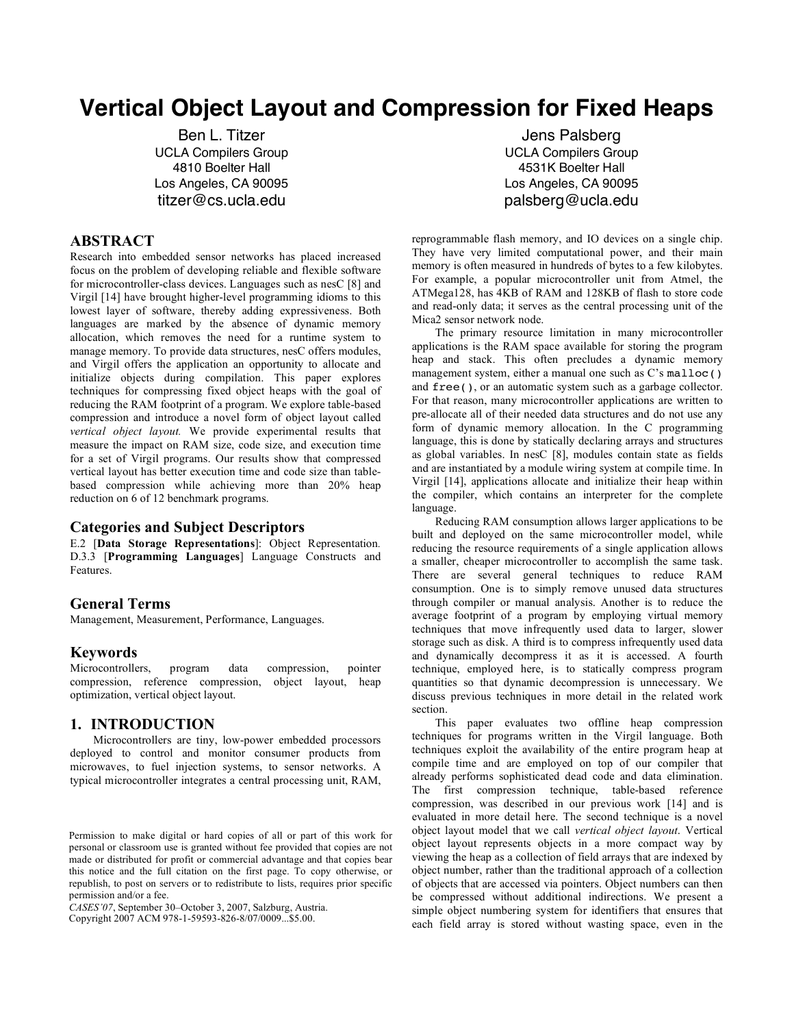# **Vertical Object Layout and Compression for Fixed Heaps**

Ben L. Titzer UCLA Compilers Group 4810 Boelter Hall Los Angeles, CA 90095 titzer@cs.ucla.edu

## **ABSTRACT**

Research into embedded sensor networks has placed increased focus on the problem of developing reliable and flexible software for microcontroller-class devices. Languages such as nesC [8] and Virgil [14] have brought higher-level programming idioms to this lowest layer of software, thereby adding expressiveness. Both languages are marked by the absence of dynamic memory allocation, which removes the need for a runtime system to manage memory. To provide data structures, nesC offers modules, and Virgil offers the application an opportunity to allocate and initialize objects during compilation. This paper explores techniques for compressing fixed object heaps with the goal of reducing the RAM footprint of a program. We explore table-based compression and introduce a novel form of object layout called *vertical object layout.* We provide experimental results that measure the impact on RAM size, code size, and execution time for a set of Virgil programs. Our results show that compressed vertical layout has better execution time and code size than tablebased compression while achieving more than 20% heap reduction on 6 of 12 benchmark programs.

## **Categories and Subject Descriptors**

E.2 [**Data Storage Representations**]: Object Representation*.* D.3.3 [**Programming Languages**] Language Constructs and Features.

#### **General Terms**

Management, Measurement, Performance, Languages.

#### **Keywords**

Microcontrollers, program data compression, pointer compression, reference compression, object layout, heap optimization, vertical object layout.

### **1. INTRODUCTION**

Microcontrollers are tiny, low-power embedded processors deployed to control and monitor consumer products from microwaves, to fuel injection systems, to sensor networks. A typical microcontroller integrates a central processing unit, RAM,

*CASES'07*, September 30–October 3, 2007, Salzburg, Austria.

Copyright 2007 ACM 978-1-59593-826-8/07/0009...\$5.00.

Jens Palsberg UCLA Compilers Group 4531K Boelter Hall Los Angeles, CA 90095 palsberg@ucla.edu

reprogrammable flash memory, and IO devices on a single chip. They have very limited computational power, and their main memory is often measured in hundreds of bytes to a few kilobytes. For example, a popular microcontroller unit from Atmel, the ATMega128, has 4KB of RAM and 128KB of flash to store code and read-only data; it serves as the central processing unit of the Mica2 sensor network node.

The primary resource limitation in many microcontroller applications is the RAM space available for storing the program heap and stack. This often precludes a dynamic memory management system, either a manual one such as C's malloc() and free(), or an automatic system such as a garbage collector. For that reason, many microcontroller applications are written to pre-allocate all of their needed data structures and do not use any form of dynamic memory allocation. In the C programming language, this is done by statically declaring arrays and structures as global variables. In nesC [8], modules contain state as fields and are instantiated by a module wiring system at compile time. In Virgil [14], applications allocate and initialize their heap within the compiler, which contains an interpreter for the complete language.

Reducing RAM consumption allows larger applications to be built and deployed on the same microcontroller model, while reducing the resource requirements of a single application allows a smaller, cheaper microcontroller to accomplish the same task. There are several general techniques to reduce RAM consumption. One is to simply remove unused data structures through compiler or manual analysis. Another is to reduce the average footprint of a program by employing virtual memory techniques that move infrequently used data to larger, slower storage such as disk. A third is to compress infrequently used data and dynamically decompress it as it is accessed. A fourth technique, employed here, is to statically compress program quantities so that dynamic decompression is unnecessary. We discuss previous techniques in more detail in the related work section.

This paper evaluates two offline heap compression techniques for programs written in the Virgil language. Both techniques exploit the availability of the entire program heap at compile time and are employed on top of our compiler that already performs sophisticated dead code and data elimination. The first compression technique, table-based reference compression, was described in our previous work [14] and is evaluated in more detail here. The second technique is a novel object layout model that we call *vertical object layout*. Vertical object layout represents objects in a more compact way by viewing the heap as a collection of field arrays that are indexed by object number, rather than the traditional approach of a collection of objects that are accessed via pointers. Object numbers can then be compressed without additional indirections. We present a simple object numbering system for identifiers that ensures that each field array is stored without wasting space, even in the

Permission to make digital or hard copies of all or part of this work for personal or classroom use is granted without fee provided that copies are not made or distributed for profit or commercial advantage and that copies bear this notice and the full citation on the first page. To copy otherwise, or republish, to post on servers or to redistribute to lists, requires prior specific permission and/or a fee.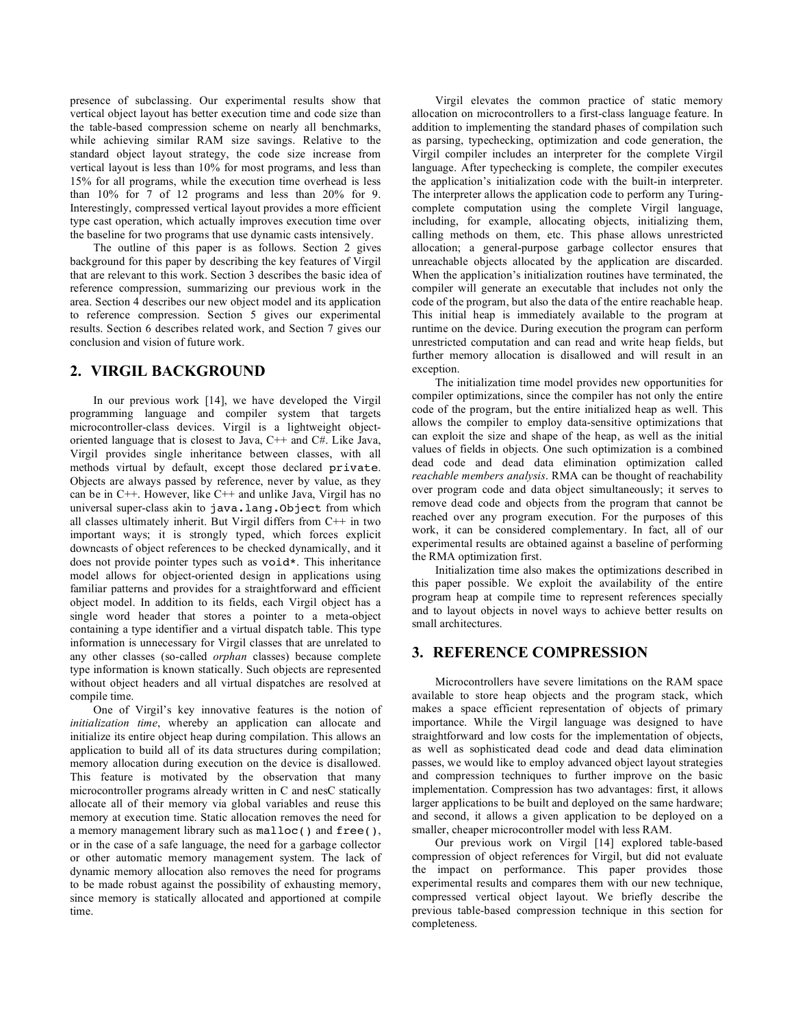presence of subclassing. Our experimental results show that vertical object layout has better execution time and code size than the table-based compression scheme on nearly all benchmarks, while achieving similar RAM size savings. Relative to the standard object layout strategy, the code size increase from vertical layout is less than 10% for most programs, and less than 15% for all programs, while the execution time overhead is less than 10% for 7 of 12 programs and less than 20% for 9. Interestingly, compressed vertical layout provides a more efficient type cast operation, which actually improves execution time over the baseline for two programs that use dynamic casts intensively.

The outline of this paper is as follows. Section 2 gives background for this paper by describing the key features of Virgil that are relevant to this work. Section 3 describes the basic idea of reference compression, summarizing our previous work in the area. Section 4 describes our new object model and its application to reference compression. Section 5 gives our experimental results. Section 6 describes related work, and Section 7 gives our conclusion and vision of future work.

# **2. VIRGIL BACKGROUND**

In our previous work [14], we have developed the Virgil programming language and compiler system that targets microcontroller-class devices. Virgil is a lightweight objectoriented language that is closest to Java, C++ and C#. Like Java, Virgil provides single inheritance between classes, with all methods virtual by default, except those declared private. Objects are always passed by reference, never by value, as they can be in C++. However, like C++ and unlike Java, Virgil has no universal super-class akin to java.lang.Object from which all classes ultimately inherit. But Virgil differs from C++ in two important ways; it is strongly typed, which forces explicit downcasts of object references to be checked dynamically, and it does not provide pointer types such as void\*. This inheritance model allows for object-oriented design in applications using familiar patterns and provides for a straightforward and efficient object model. In addition to its fields, each Virgil object has a single word header that stores a pointer to a meta-object containing a type identifier and a virtual dispatch table. This type information is unnecessary for Virgil classes that are unrelated to any other classes (so-called *orphan* classes) because complete type information is known statically. Such objects are represented without object headers and all virtual dispatches are resolved at compile time.

One of Virgil's key innovative features is the notion of *initialization time*, whereby an application can allocate and initialize its entire object heap during compilation. This allows an application to build all of its data structures during compilation; memory allocation during execution on the device is disallowed. This feature is motivated by the observation that many microcontroller programs already written in C and nesC statically allocate all of their memory via global variables and reuse this memory at execution time. Static allocation removes the need for a memory management library such as malloc() and free(), or in the case of a safe language, the need for a garbage collector or other automatic memory management system. The lack of dynamic memory allocation also removes the need for programs to be made robust against the possibility of exhausting memory, since memory is statically allocated and apportioned at compile time.

Virgil elevates the common practice of static memory allocation on microcontrollers to a first-class language feature. In addition to implementing the standard phases of compilation such as parsing, typechecking, optimization and code generation, the Virgil compiler includes an interpreter for the complete Virgil language. After typechecking is complete, the compiler executes the application's initialization code with the built-in interpreter. The interpreter allows the application code to perform any Turingcomplete computation using the complete Virgil language, including, for example, allocating objects, initializing them, calling methods on them, etc. This phase allows unrestricted allocation; a general-purpose garbage collector ensures that unreachable objects allocated by the application are discarded. When the application's initialization routines have terminated, the compiler will generate an executable that includes not only the code of the program, but also the data of the entire reachable heap. This initial heap is immediately available to the program at runtime on the device. During execution the program can perform unrestricted computation and can read and write heap fields, but further memory allocation is disallowed and will result in an exception.

The initialization time model provides new opportunities for compiler optimizations, since the compiler has not only the entire code of the program, but the entire initialized heap as well. This allows the compiler to employ data-sensitive optimizations that can exploit the size and shape of the heap, as well as the initial values of fields in objects. One such optimization is a combined dead code and dead data elimination optimization called *reachable members analysis*. RMA can be thought of reachability over program code and data object simultaneously; it serves to remove dead code and objects from the program that cannot be reached over any program execution. For the purposes of this work, it can be considered complementary. In fact, all of our experimental results are obtained against a baseline of performing the RMA optimization first.

Initialization time also makes the optimizations described in this paper possible. We exploit the availability of the entire program heap at compile time to represent references specially and to layout objects in novel ways to achieve better results on small architectures.

# **3. REFERENCE COMPRESSION**

Microcontrollers have severe limitations on the RAM space available to store heap objects and the program stack, which makes a space efficient representation of objects of primary importance. While the Virgil language was designed to have straightforward and low costs for the implementation of objects, as well as sophisticated dead code and dead data elimination passes, we would like to employ advanced object layout strategies and compression techniques to further improve on the basic implementation. Compression has two advantages: first, it allows larger applications to be built and deployed on the same hardware; and second, it allows a given application to be deployed on a smaller, cheaper microcontroller model with less RAM.

Our previous work on Virgil [14] explored table-based compression of object references for Virgil, but did not evaluate the impact on performance. This paper provides those experimental results and compares them with our new technique, compressed vertical object layout. We briefly describe the previous table-based compression technique in this section for completeness.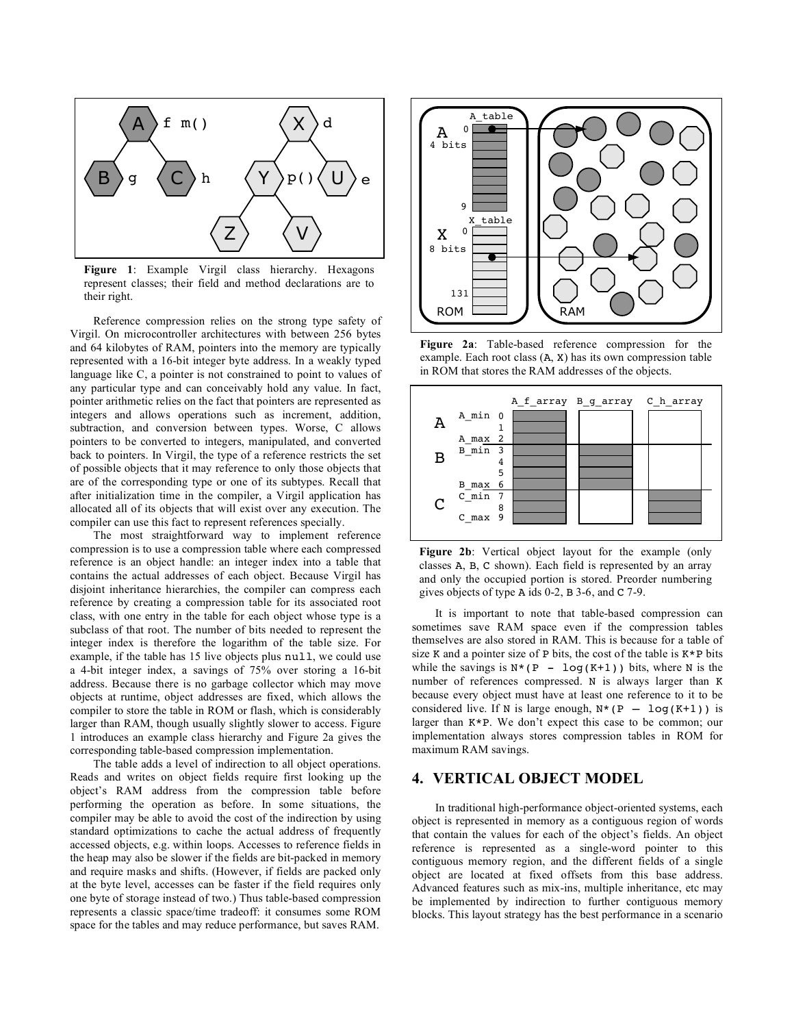

**Figure 1**: Example Virgil class hierarchy. Hexagons represent classes; their field and method declarations are to their right.

Reference compression relies on the strong type safety of Virgil. On microcontroller architectures with between 256 bytes and 64 kilobytes of RAM, pointers into the memory are typically represented with a 16-bit integer byte address. In a weakly typed language like C, a pointer is not constrained to point to values of any particular type and can conceivably hold any value. In fact, pointer arithmetic relies on the fact that pointers are represented as integers and allows operations such as increment, addition, subtraction, and conversion between types. Worse, C allows pointers to be converted to integers, manipulated, and converted back to pointers. In Virgil, the type of a reference restricts the set of possible objects that it may reference to only those objects that are of the corresponding type or one of its subtypes. Recall that after initialization time in the compiler, a Virgil application has allocated all of its objects that will exist over any execution. The compiler can use this fact to represent references specially.

The most straightforward way to implement reference compression is to use a compression table where each compressed reference is an object handle: an integer index into a table that contains the actual addresses of each object. Because Virgil has disjoint inheritance hierarchies, the compiler can compress each reference by creating a compression table for its associated root class, with one entry in the table for each object whose type is a subclass of that root. The number of bits needed to represent the integer index is therefore the logarithm of the table size. For example, if the table has 15 live objects plus null, we could use a 4-bit integer index, a savings of 75% over storing a 16-bit address. Because there is no garbage collector which may move objects at runtime, object addresses are fixed, which allows the compiler to store the table in ROM or flash, which is considerably larger than RAM, though usually slightly slower to access. Figure 1 introduces an example class hierarchy and Figure 2a gives the corresponding table-based compression implementation.

The table adds a level of indirection to all object operations. Reads and writes on object fields require first looking up the object's RAM address from the compression table before performing the operation as before. In some situations, the compiler may be able to avoid the cost of the indirection by using standard optimizations to cache the actual address of frequently accessed objects, e.g. within loops. Accesses to reference fields in the heap may also be slower if the fields are bit-packed in memory and require masks and shifts. (However, if fields are packed only at the byte level, accesses can be faster if the field requires only one byte of storage instead of two.) Thus table-based compression represents a classic space/time tradeoff: it consumes some ROM space for the tables and may reduce performance, but saves RAM.



**Figure 2a**: Table-based reference compression for the example. Each root class (A, X) has its own compression table in ROM that stores the RAM addresses of the objects.



**Figure 2b**: Vertical object layout for the example (only classes A, B, C shown). Each field is represented by an array and only the occupied portion is stored. Preorder numbering gives objects of type A ids 0-2, B 3-6, and C 7-9.

It is important to note that table-based compression can sometimes save RAM space even if the compression tables themselves are also stored in RAM. This is because for a table of size K and a pointer size of P bits, the cost of the table is  $K*P$  bits while the savings is  $N^*(P - \log(K+1))$  bits, where N is the number of references compressed. N is always larger than K because every object must have at least one reference to it to be considered live. If N is large enough,  $N^*(P - \log(K+1))$  is larger than K\*P. We don't expect this case to be common; our implementation always stores compression tables in ROM for maximum RAM savings.

# **4. VERTICAL OBJECT MODEL**

In traditional high-performance object-oriented systems, each object is represented in memory as a contiguous region of words that contain the values for each of the object's fields. An object reference is represented as a single-word pointer to this contiguous memory region, and the different fields of a single object are located at fixed offsets from this base address. Advanced features such as mix-ins, multiple inheritance, etc may be implemented by indirection to further contiguous memory blocks. This layout strategy has the best performance in a scenario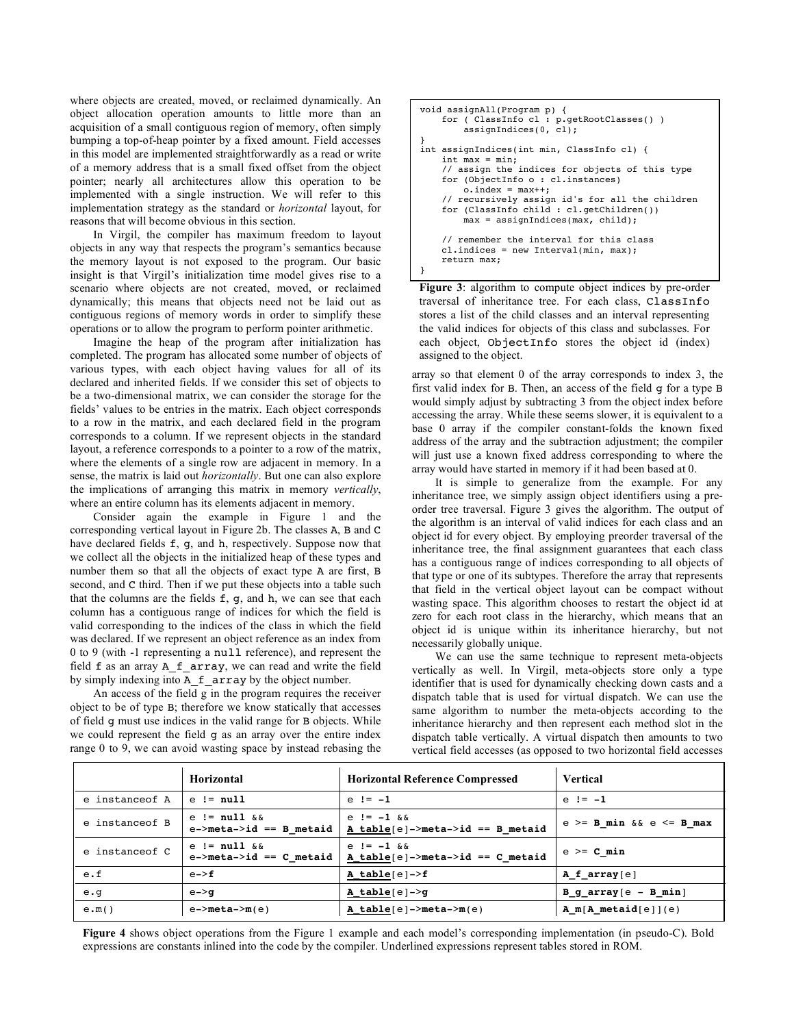where objects are created, moved, or reclaimed dynamically. An object allocation operation amounts to little more than an acquisition of a small contiguous region of memory, often simply bumping a top-of-heap pointer by a fixed amount. Field accesses in this model are implemented straightforwardly as a read or write of a memory address that is a small fixed offset from the object pointer; nearly all architectures allow this operation to be implemented with a single instruction. We will refer to this implementation strategy as the standard or *horizontal* layout, for reasons that will become obvious in this section.

In Virgil, the compiler has maximum freedom to layout objects in any way that respects the program's semantics because the memory layout is not exposed to the program. Our basic insight is that Virgil's initialization time model gives rise to a scenario where objects are not created, moved, or reclaimed dynamically; this means that objects need not be laid out as contiguous regions of memory words in order to simplify these operations or to allow the program to perform pointer arithmetic.

Imagine the heap of the program after initialization has completed. The program has allocated some number of objects of various types, with each object having values for all of its declared and inherited fields. If we consider this set of objects to be a two-dimensional matrix, we can consider the storage for the fields' values to be entries in the matrix. Each object corresponds to a row in the matrix, and each declared field in the program corresponds to a column. If we represent objects in the standard layout, a reference corresponds to a pointer to a row of the matrix, where the elements of a single row are adjacent in memory. In a sense, the matrix is laid out *horizontally*. But one can also explore the implications of arranging this matrix in memory *vertically*, where an entire column has its elements adjacent in memory.

Consider again the example in Figure 1 and the corresponding vertical layout in Figure 2b. The classes A, B and C have declared fields  $f$ , q, and h, respectively. Suppose now that we collect all the objects in the initialized heap of these types and number them so that all the objects of exact type A are first, B second, and C third. Then if we put these objects into a table such that the columns are the fields f, g, and h, we can see that each column has a contiguous range of indices for which the field is valid corresponding to the indices of the class in which the field was declared. If we represent an object reference as an index from 0 to 9 (with -1 representing a null reference), and represent the field f as an array A\_f\_array, we can read and write the field by simply indexing into A\_f\_array by the object number.

An access of the field g in the program requires the receiver object to be of type B; therefore we know statically that accesses of field g must use indices in the valid range for B objects. While we could represent the field g as an array over the entire index range 0 to 9, we can avoid wasting space by instead rebasing the

```
void assignAll(Program p) {
    for ( ClassInfo cl : p.getRootClasses() )
        assignIndices(0, cl);
}
int assignIndices(int min, ClassInfo cl) {
    int max = min;
// assign the indices for objects of this type
    for (ObjectInfo o : cl.instances)
        o.\text{index} = \text{max++}:// recursively assign id's for all the children
    for (ClassInfo child : cl.getChildren())
        max = assignmentndices(max, child);
    // remember the interval for this class
    cl.indices = new Interval(min, max);
    return max;
}
```
**Figure 3**: algorithm to compute object indices by pre-order traversal of inheritance tree. For each class, ClassInfo stores a list of the child classes and an interval representing the valid indices for objects of this class and subclasses. For each object, ObjectInfo stores the object id (index) assigned to the object.

array so that element 0 of the array corresponds to index 3, the first valid index for B. Then, an access of the field g for a type B would simply adjust by subtracting 3 from the object index before accessing the array. While these seems slower, it is equivalent to a base 0 array if the compiler constant-folds the known fixed address of the array and the subtraction adjustment; the compiler will just use a known fixed address corresponding to where the array would have started in memory if it had been based at 0.

It is simple to generalize from the example. For any inheritance tree, we simply assign object identifiers using a preorder tree traversal. Figure 3 gives the algorithm. The output of the algorithm is an interval of valid indices for each class and an object id for every object. By employing preorder traversal of the inheritance tree, the final assignment guarantees that each class has a contiguous range of indices corresponding to all objects of that type or one of its subtypes. Therefore the array that represents that field in the vertical object layout can be compact without wasting space. This algorithm chooses to restart the object id at zero for each root class in the hierarchy, which means that an object id is unique within its inheritance hierarchy, but not necessarily globally unique.

We can use the same technique to represent meta-objects vertically as well. In Virgil, meta-objects store only a type identifier that is used for dynamically checking down casts and a dispatch table that is used for virtual dispatch. We can use the same algorithm to number the meta-objects according to the inheritance hierarchy and then represent each method slot in the dispatch table vertically. A virtual dispatch then amounts to two vertical field accesses (as opposed to two horizontal field accesses

|                | Horizontal                                          | <b>Horizontal Reference Compressed</b>                           | <b>Vertical</b>                   |
|----------------|-----------------------------------------------------|------------------------------------------------------------------|-----------------------------------|
| e instanceof A | $e := null$                                         | $e = -1$                                                         | $e = -1$                          |
| e instanceof B | $e := null \&$<br>$e$ ->meta->id == B metaid        | $e = -1$ $\delta \delta$<br>A table[ $e$ ]->meta->id == B metaid | $e$ >= B min && $e$ <= B max      |
| e instanceof C | $e$ != $null & \& \&$<br>$e$ ->meta->id == C metaid | $e = -1$ $\&&$<br>A table[e]->meta->id == $C$ metaid             | $e$ >= $c$ min                    |
| e.f            | $e->f$                                              | A table $[e]$ ->f                                                | A f array $[e]$                   |
| e.q            | $e - > q$                                           | A table[e]->g                                                    | $B$ g array $[e - B \text{ min}]$ |
| e.m()          | $e$ ->meta->m(e)                                    | A table[e]->meta->m(e)                                           | $A_m[A_metaid[e]](e)$             |

**Figure 4** shows object operations from the Figure 1 example and each model's corresponding implementation (in pseudo-C). Bold expressions are constants inlined into the code by the compiler. Underlined expressions represent tables stored in ROM.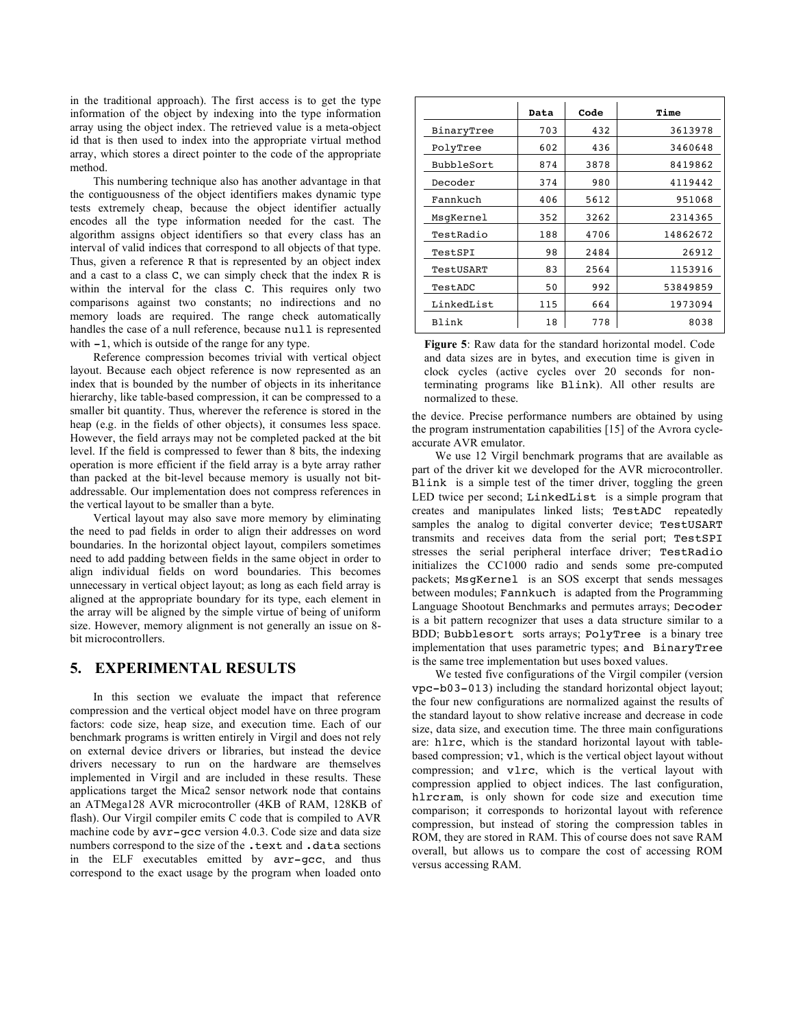in the traditional approach). The first access is to get the type information of the object by indexing into the type information array using the object index. The retrieved value is a meta-object id that is then used to index into the appropriate virtual method array, which stores a direct pointer to the code of the appropriate method.

This numbering technique also has another advantage in that the contiguousness of the object identifiers makes dynamic type tests extremely cheap, because the object identifier actually encodes all the type information needed for the cast. The algorithm assigns object identifiers so that every class has an interval of valid indices that correspond to all objects of that type. Thus, given a reference R that is represented by an object index and a cast to a class C, we can simply check that the index R is within the interval for the class C. This requires only two comparisons against two constants; no indirections and no memory loads are required. The range check automatically handles the case of a null reference, because null is represented with  $-1$ , which is outside of the range for any type.

Reference compression becomes trivial with vertical object layout. Because each object reference is now represented as an index that is bounded by the number of objects in its inheritance hierarchy, like table-based compression, it can be compressed to a smaller bit quantity. Thus, wherever the reference is stored in the heap (e.g. in the fields of other objects), it consumes less space. However, the field arrays may not be completed packed at the bit level. If the field is compressed to fewer than 8 bits, the indexing operation is more efficient if the field array is a byte array rather than packed at the bit-level because memory is usually not bitaddressable. Our implementation does not compress references in the vertical layout to be smaller than a byte.

Vertical layout may also save more memory by eliminating the need to pad fields in order to align their addresses on word boundaries. In the horizontal object layout, compilers sometimes need to add padding between fields in the same object in order to align individual fields on word boundaries. This becomes unnecessary in vertical object layout; as long as each field array is aligned at the appropriate boundary for its type, each element in the array will be aligned by the simple virtue of being of uniform size. However, memory alignment is not generally an issue on 8 bit microcontrollers.

#### **5. EXPERIMENTAL RESULTS**

In this section we evaluate the impact that reference compression and the vertical object model have on three program factors: code size, heap size, and execution time. Each of our benchmark programs is written entirely in Virgil and does not rely on external device drivers or libraries, but instead the device drivers necessary to run on the hardware are themselves implemented in Virgil and are included in these results. These applications target the Mica2 sensor network node that contains an ATMega128 AVR microcontroller (4KB of RAM, 128KB of flash). Our Virgil compiler emits C code that is compiled to AVR machine code by avr-gcc version 4.0.3. Code size and data size numbers correspond to the size of the .text and .data sections in the ELF executables emitted by avr-gcc, and thus correspond to the exact usage by the program when loaded onto

|            | Data | Code | Time     |
|------------|------|------|----------|
| BinaryTree | 703  | 432  | 3613978  |
| PolyTree   | 602  | 436  | 3460648  |
| BubbleSort | 874  | 3878 | 8419862  |
| Decoder    | 374  | 980  | 4119442  |
| Fannkuch   | 406  | 5612 | 951068   |
| MsqKernel  | 352  | 3262 | 2314365  |
| TestRadio  | 188  | 4706 | 14862672 |
| TestSPI    | 98   | 2484 | 26912    |
| TestUSART  | 83   | 2564 | 1153916  |
| TestADC    | 50   | 992  | 53849859 |
| LinkedList | 115  | 664  | 1973094  |
| Blink      | 18   | 778  | 8038     |

**Figure 5**: Raw data for the standard horizontal model. Code and data sizes are in bytes, and execution time is given in clock cycles (active cycles over 20 seconds for nonterminating programs like Blink). All other results are normalized to these.

the device. Precise performance numbers are obtained by using the program instrumentation capabilities [15] of the Avrora cycleaccurate AVR emulator.

We use 12 Virgil benchmark programs that are available as part of the driver kit we developed for the AVR microcontroller. Blink is a simple test of the timer driver, toggling the green LED twice per second; LinkedList is a simple program that creates and manipulates linked lists; TestADC repeatedly samples the analog to digital converter device; TestUSART transmits and receives data from the serial port; TestSPI stresses the serial peripheral interface driver; TestRadio initializes the CC1000 radio and sends some pre-computed packets; MsgKernel is an SOS excerpt that sends messages between modules; Fannkuch is adapted from the Programming Language Shootout Benchmarks and permutes arrays; Decoder is a bit pattern recognizer that uses a data structure similar to a BDD; Bubblesort sorts arrays; PolyTree is a binary tree implementation that uses parametric types; and BinaryTree is the same tree implementation but uses boxed values.

We tested five configurations of the Virgil compiler (version vpc-b03-013) including the standard horizontal object layout; the four new configurations are normalized against the results of the standard layout to show relative increase and decrease in code size, data size, and execution time. The three main configurations are: hlrc, which is the standard horizontal layout with tablebased compression; v1, which is the vertical object layout without compression; and vlrc, which is the vertical layout with compression applied to object indices. The last configuration, hlrcram, is only shown for code size and execution time comparison; it corresponds to horizontal layout with reference compression, but instead of storing the compression tables in ROM, they are stored in RAM. This of course does not save RAM overall, but allows us to compare the cost of accessing ROM versus accessing RAM.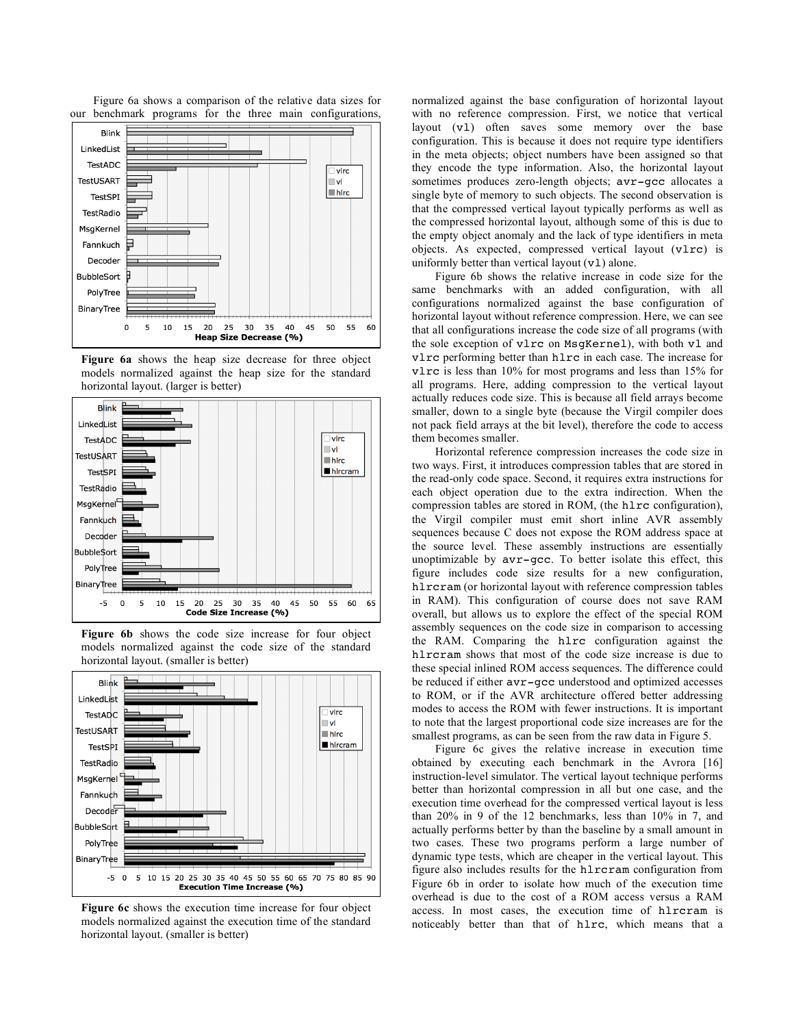

Figure 6a shows a comparison of the relative data sizes for our benchmark programs for the three main configurations,

**Figure 6a** shows the heap size decrease for three object models normalized against the heap size for the standard horizontal layout. (larger is better)



**Figure 6b** shows the code size increase for four object models normalized against the code size of the standard horizontal layout. (smaller is better)



**Figure 6c** shows the execution time increase for four object models normalized against the execution time of the standard horizontal layout. (smaller is better)

normalized against the base configuration of horizontal layout with no reference compression. First, we notice that vertical layout (vl) often saves some memory over the base configuration. This is because it does not require type identifiers in the meta objects; object numbers have been assigned so that they encode the type information. Also, the horizontal layout sometimes produces zero-length objects;  $avr-qcc$  allocates a single byte of memory to such objects. The second observation is that the compressed vertical layout typically performs as well as the compressed horizontal layout, although some of this is due to the empty object anomaly and the lack of type identifiers in meta objects. As expected, compressed vertical layout (vlrc) is uniformly better than vertical layout  $(v1)$  alone.

Figure 6b shows the relative increase in code size for the same benchmarks with an added configuration, with all configurations normalized against the base configuration of horizontal layout without reference compression. Here, we can see that all configurations increase the code size of all programs (with the sole exception of vlrc on MsgKernel), with both vl and vlrc performing better than hlrc in each case. The increase for vlrc is less than 10% for most programs and less than 15% for all programs. Here, adding compression to the vertical layout actually reduces code size. This is because all field arrays become smaller, down to a single byte (because the Virgil compiler does not pack field arrays at the bit level), therefore the code to access them becomes smaller.

Horizontal reference compression increases the code size in two ways. First, it introduces compression tables that are stored in the read-only code space. Second, it requires extra instructions for each object operation due to the extra indirection. When the compression tables are stored in ROM, (the hlrc configuration), the Virgil compiler must emit short inline AVR assembly sequences because C does not expose the ROM address space at the source level. These assembly instructions are essentially unoptimizable by avr-gcc. To better isolate this effect, this figure includes code size results for a new configuration, hlrcram (or horizontal layout with reference compression tables in RAM). This configuration of course does not save RAM overall, but allows us to explore the effect of the special ROM assembly sequences on the code size in comparison to accessing the RAM. Comparing the hlrc configuration against the hlrcram shows that most of the code size increase is due to these special inlined ROM access sequences. The difference could be reduced if either  $\alpha v r - \alpha c c$  understood and optimized accesses to ROM, or if the AVR architecture offered better addressing modes to access the ROM with fewer instructions. It is important to note that the largest proportional code size increases are for the smallest programs, as can be seen from the raw data in Figure 5.

Figure 6c gives the relative increase in execution time obtained by executing each benchmark in the Avrora [16] instruction-level simulator. The vertical layout technique performs better than horizontal compression in all but one case, and the execution time overhead for the compressed vertical layout is less than 20% in 9 of the 12 benchmarks, less than 10% in 7, and actually performs better by than the baseline by a small amount in two cases. These two programs perform a large number of dynamic type tests, which are cheaper in the vertical layout. This figure also includes results for the hlrcram configuration from Figure 6b in order to isolate how much of the execution time overhead is due to the cost of a ROM access versus a RAM access. In most cases, the execution time of hlrcram is noticeably better than that of hlrc, which means that a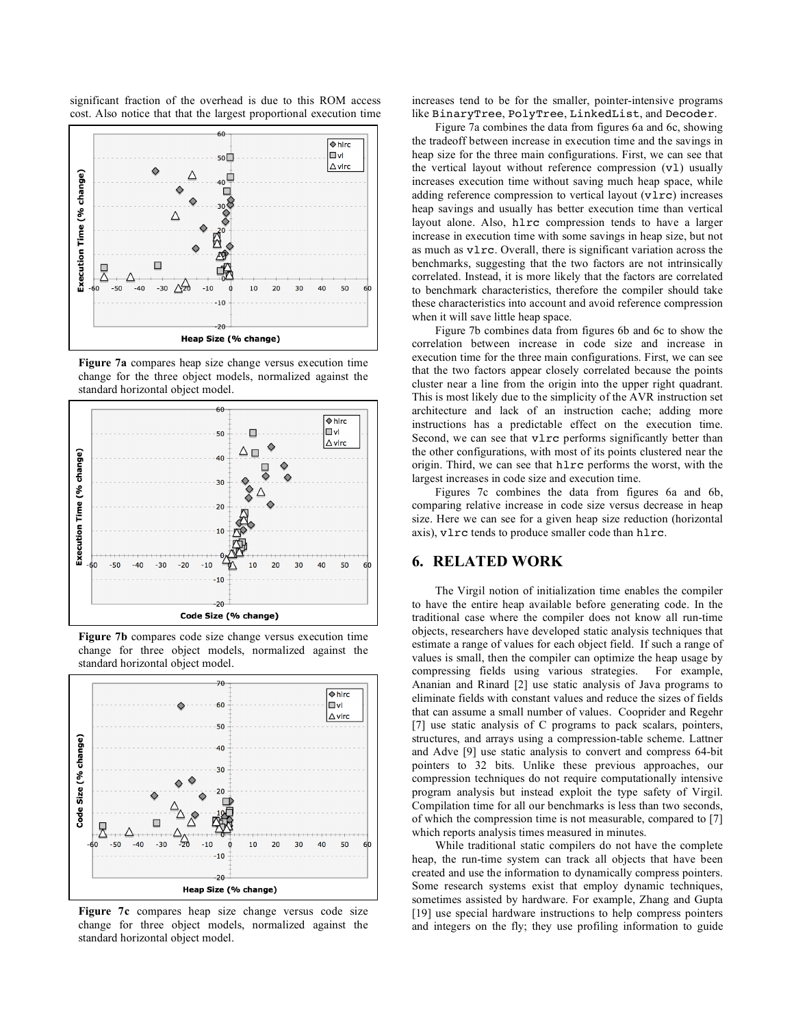significant fraction of the overhead is due to this ROM access cost. Also notice that that the largest proportional execution time



**Figure 7a** compares heap size change versus execution time change for the three object models, normalized against the standard horizontal object model.



**Figure 7b** compares code size change versus execution time change for three object models, normalized against the standard horizontal object model.



**Figure 7c** compares heap size change versus code size change for three object models, normalized against the standard horizontal object model.

increases tend to be for the smaller, pointer-intensive programs like BinaryTree, PolyTree, LinkedList, and Decoder.

Figure 7a combines the data from figures 6a and 6c, showing the tradeoff between increase in execution time and the savings in heap size for the three main configurations. First, we can see that the vertical layout without reference compression  $(v_1)$  usually increases execution time without saving much heap space, while adding reference compression to vertical layout (vlrc) increases heap savings and usually has better execution time than vertical layout alone. Also, hlrc compression tends to have a larger increase in execution time with some savings in heap size, but not as much as vlrc. Overall, there is significant variation across the benchmarks, suggesting that the two factors are not intrinsically correlated. Instead, it is more likely that the factors are correlated to benchmark characteristics, therefore the compiler should take these characteristics into account and avoid reference compression when it will save little heap space.

Figure 7b combines data from figures 6b and 6c to show the correlation between increase in code size and increase in execution time for the three main configurations. First, we can see that the two factors appear closely correlated because the points cluster near a line from the origin into the upper right quadrant. This is most likely due to the simplicity of the AVR instruction set architecture and lack of an instruction cache; adding more instructions has a predictable effect on the execution time. Second, we can see that vlrc performs significantly better than the other configurations, with most of its points clustered near the origin. Third, we can see that hlrc performs the worst, with the largest increases in code size and execution time.

Figures 7c combines the data from figures 6a and 6b, comparing relative increase in code size versus decrease in heap size. Here we can see for a given heap size reduction (horizontal axis), vlrc tends to produce smaller code than hlrc.

### **6. RELATED WORK**

The Virgil notion of initialization time enables the compiler to have the entire heap available before generating code. In the traditional case where the compiler does not know all run-time objects, researchers have developed static analysis techniques that estimate a range of values for each object field. If such a range of values is small, then the compiler can optimize the heap usage by compressing fields using various strategies. For example, Ananian and Rinard [2] use static analysis of Java programs to eliminate fields with constant values and reduce the sizes of fields that can assume a small number of values. Cooprider and Regehr [7] use static analysis of C programs to pack scalars, pointers, structures, and arrays using a compression-table scheme. Lattner and Adve [9] use static analysis to convert and compress 64-bit pointers to 32 bits. Unlike these previous approaches, our compression techniques do not require computationally intensive program analysis but instead exploit the type safety of Virgil. Compilation time for all our benchmarks is less than two seconds, of which the compression time is not measurable, compared to [7] which reports analysis times measured in minutes.

While traditional static compilers do not have the complete heap, the run-time system can track all objects that have been created and use the information to dynamically compress pointers. Some research systems exist that employ dynamic techniques, sometimes assisted by hardware. For example, Zhang and Gupta [19] use special hardware instructions to help compress pointers and integers on the fly; they use profiling information to guide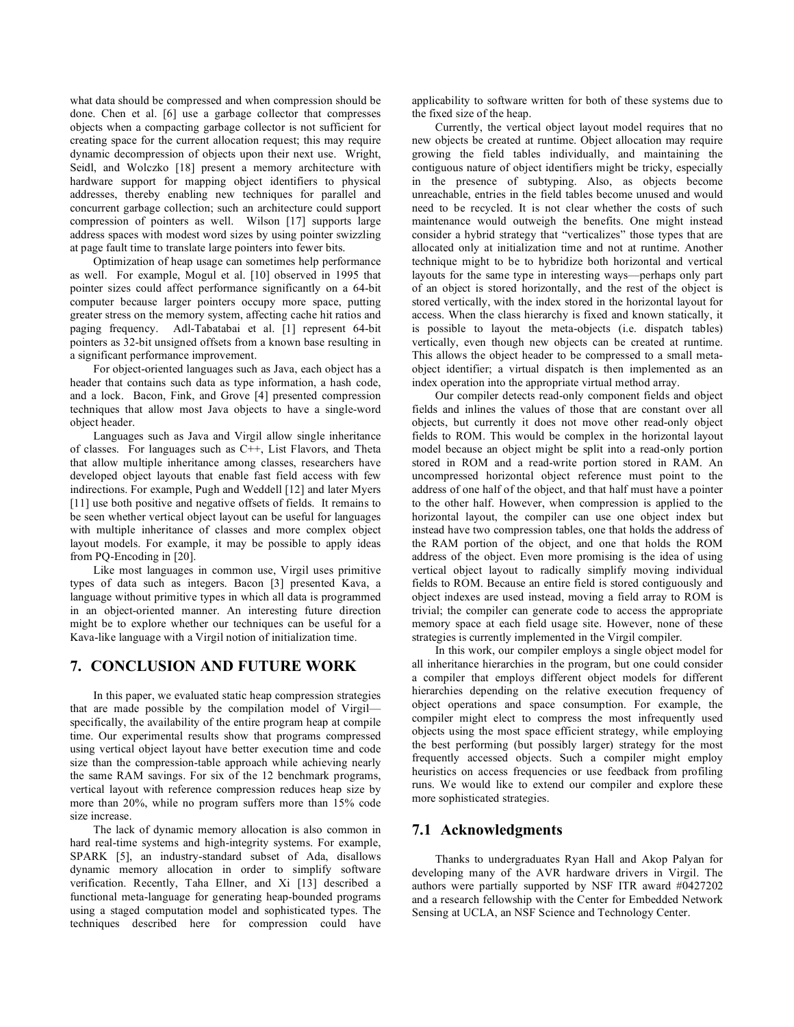what data should be compressed and when compression should be done. Chen et al. [6] use a garbage collector that compresses objects when a compacting garbage collector is not sufficient for creating space for the current allocation request; this may require dynamic decompression of objects upon their next use. Wright, Seidl, and Wolczko [18] present a memory architecture with hardware support for mapping object identifiers to physical addresses, thereby enabling new techniques for parallel and concurrent garbage collection; such an architecture could support compression of pointers as well. Wilson [17] supports large address spaces with modest word sizes by using pointer swizzling at page fault time to translate large pointers into fewer bits.

Optimization of heap usage can sometimes help performance as well. For example, Mogul et al. [10] observed in 1995 that pointer sizes could affect performance significantly on a 64-bit computer because larger pointers occupy more space, putting greater stress on the memory system, affecting cache hit ratios and paging frequency. Adl-Tabatabai et al. [1] represent 64-bit pointers as 32-bit unsigned offsets from a known base resulting in a significant performance improvement.

For object-oriented languages such as Java, each object has a header that contains such data as type information, a hash code, and a lock. Bacon, Fink, and Grove [4] presented compression techniques that allow most Java objects to have a single-word object header.

Languages such as Java and Virgil allow single inheritance of classes. For languages such as C++, List Flavors, and Theta that allow multiple inheritance among classes, researchers have developed object layouts that enable fast field access with few indirections. For example, Pugh and Weddell [12] and later Myers [11] use both positive and negative offsets of fields. It remains to be seen whether vertical object layout can be useful for languages with multiple inheritance of classes and more complex object layout models. For example, it may be possible to apply ideas from PQ-Encoding in [20].

Like most languages in common use, Virgil uses primitive types of data such as integers. Bacon [3] presented Kava, a language without primitive types in which all data is programmed in an object-oriented manner. An interesting future direction might be to explore whether our techniques can be useful for a Kava-like language with a Virgil notion of initialization time.

## **7. CONCLUSION AND FUTURE WORK**

In this paper, we evaluated static heap compression strategies that are made possible by the compilation model of Virgil specifically, the availability of the entire program heap at compile time. Our experimental results show that programs compressed using vertical object layout have better execution time and code size than the compression-table approach while achieving nearly the same RAM savings. For six of the 12 benchmark programs, vertical layout with reference compression reduces heap size by more than 20%, while no program suffers more than 15% code size increase.

The lack of dynamic memory allocation is also common in hard real-time systems and high-integrity systems. For example, SPARK [5], an industry-standard subset of Ada, disallows dynamic memory allocation in order to simplify software verification. Recently, Taha Ellner, and Xi [13] described a functional meta-language for generating heap-bounded programs using a staged computation model and sophisticated types. The techniques described here for compression could have

applicability to software written for both of these systems due to the fixed size of the heap.

Currently, the vertical object layout model requires that no new objects be created at runtime. Object allocation may require growing the field tables individually, and maintaining the contiguous nature of object identifiers might be tricky, especially in the presence of subtyping. Also, as objects become unreachable, entries in the field tables become unused and would need to be recycled. It is not clear whether the costs of such maintenance would outweigh the benefits. One might instead consider a hybrid strategy that "verticalizes" those types that are allocated only at initialization time and not at runtime. Another technique might to be to hybridize both horizontal and vertical layouts for the same type in interesting ways—perhaps only part of an object is stored horizontally, and the rest of the object is stored vertically, with the index stored in the horizontal layout for access. When the class hierarchy is fixed and known statically, it is possible to layout the meta-objects (i.e. dispatch tables) vertically, even though new objects can be created at runtime. This allows the object header to be compressed to a small metaobject identifier; a virtual dispatch is then implemented as an index operation into the appropriate virtual method array.

Our compiler detects read-only component fields and object fields and inlines the values of those that are constant over all objects, but currently it does not move other read-only object fields to ROM. This would be complex in the horizontal layout model because an object might be split into a read-only portion stored in ROM and a read-write portion stored in RAM. An uncompressed horizontal object reference must point to the address of one half of the object, and that half must have a pointer to the other half. However, when compression is applied to the horizontal layout, the compiler can use one object index but instead have two compression tables, one that holds the address of the RAM portion of the object, and one that holds the ROM address of the object. Even more promising is the idea of using vertical object layout to radically simplify moving individual fields to ROM. Because an entire field is stored contiguously and object indexes are used instead, moving a field array to ROM is trivial; the compiler can generate code to access the appropriate memory space at each field usage site. However, none of these strategies is currently implemented in the Virgil compiler.

In this work, our compiler employs a single object model for all inheritance hierarchies in the program, but one could consider a compiler that employs different object models for different hierarchies depending on the relative execution frequency of object operations and space consumption. For example, the compiler might elect to compress the most infrequently used objects using the most space efficient strategy, while employing the best performing (but possibly larger) strategy for the most frequently accessed objects. Such a compiler might employ heuristics on access frequencies or use feedback from profiling runs. We would like to extend our compiler and explore these more sophisticated strategies.

## **7.1 Acknowledgments**

Thanks to undergraduates Ryan Hall and Akop Palyan for developing many of the AVR hardware drivers in Virgil. The authors were partially supported by NSF ITR award #0427202 and a research fellowship with the Center for Embedded Network Sensing at UCLA, an NSF Science and Technology Center.